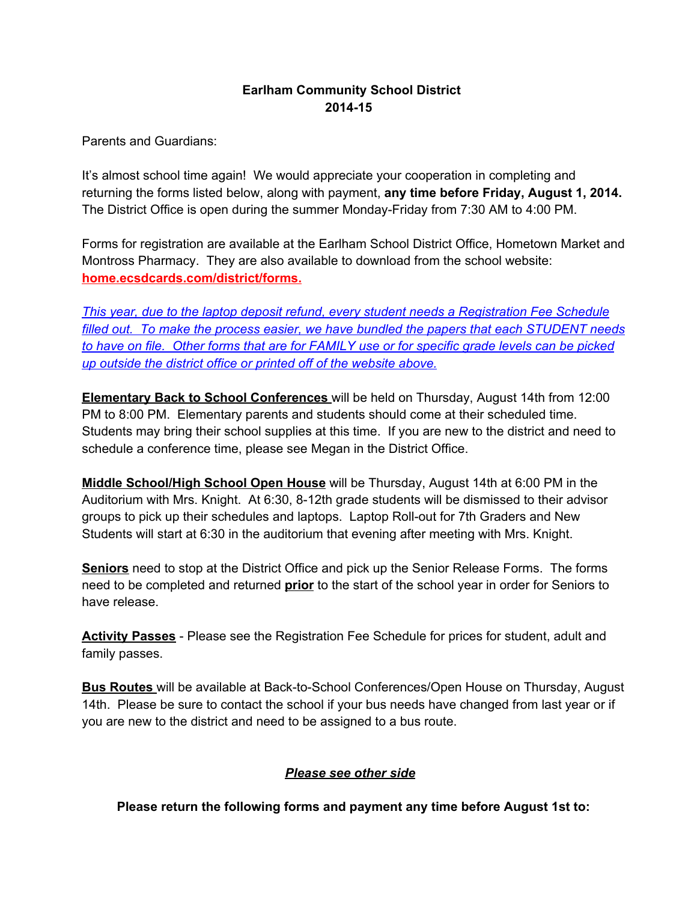## **Earlham Community School District 201415**

Parents and Guardians:

It's almost school time again! We would appreciate your cooperation in completing and returning the forms listed below, along with payment, **any time before Friday, August 1, 2014.** The District Office is open during the summer Monday-Friday from 7:30 AM to 4:00 PM.

Forms for registration are available at the Earlham School District Office, Hometown Market and Montross Pharmacy. They are also available to download from the school website: **home.ecsdcards.com/district/forms.**

*This year, due to the laptop deposit refund, every student needs a Registration Fee Schedule filled out. To make the process easier, we have bundled the papers that each STUDENT needs* to have on file. Other forms that are for FAMILY use or for specific grade levels can be picked *up outside the district office or printed off of the website above.*

**Elementary Back to School Conferences** will be held on Thursday, August 14th from 12:00 PM to 8:00 PM. Elementary parents and students should come at their scheduled time. Students may bring their school supplies at this time. If you are new to the district and need to schedule a conference time, please see Megan in the District Office.

**Middle School/High School Open House** will be Thursday, August 14th at 6:00 PM in the Auditorium with Mrs. Knight. At 6:30, 8-12th grade students will be dismissed to their advisor groups to pick up their schedules and laptops. Laptop Roll-out for 7th Graders and New Students will start at 6:30 in the auditorium that evening after meeting with Mrs. Knight.

**Seniors** need to stop at the District Office and pick up the Senior Release Forms. The forms need to be completed and returned **prior** to the start of the school year in order for Seniors to have release.

**Activity Passes** - Please see the Registration Fee Schedule for prices for student, adult and family passes.

**Bus Routes** will be available at Back-to-School Conferences/Open House on Thursday, August 14th. Please be sure to contact the school if your bus needs have changed from last year or if you are new to the district and need to be assigned to a bus route.

## *Please see other side*

**Please return the following forms and payment any time before August 1st to:**